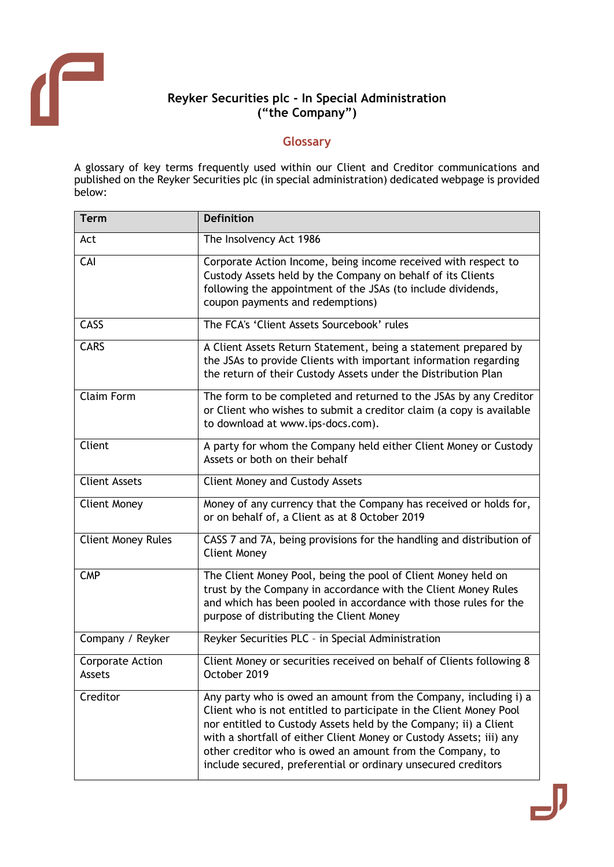

## **Reyker Securities plc - In Special Administration ("the Company")**

## **Glossary**

A glossary of key terms frequently used within our Client and Creditor communications and published on the Reyker Securities plc (in special administration) dedicated webpage is provided below:

| <b>Term</b>                       | <b>Definition</b>                                                                                                                                                                                                                                                                                                                                                                                               |
|-----------------------------------|-----------------------------------------------------------------------------------------------------------------------------------------------------------------------------------------------------------------------------------------------------------------------------------------------------------------------------------------------------------------------------------------------------------------|
| Act                               | The Insolvency Act 1986                                                                                                                                                                                                                                                                                                                                                                                         |
| CAI                               | Corporate Action Income, being income received with respect to<br>Custody Assets held by the Company on behalf of its Clients<br>following the appointment of the JSAs (to include dividends,<br>coupon payments and redemptions)                                                                                                                                                                               |
| CASS                              | The FCA's 'Client Assets Sourcebook' rules                                                                                                                                                                                                                                                                                                                                                                      |
| <b>CARS</b>                       | A Client Assets Return Statement, being a statement prepared by<br>the JSAs to provide Clients with important information regarding<br>the return of their Custody Assets under the Distribution Plan                                                                                                                                                                                                           |
| <b>Claim Form</b>                 | The form to be completed and returned to the JSAs by any Creditor<br>or Client who wishes to submit a creditor claim (a copy is available<br>to download at www.ips-docs.com).                                                                                                                                                                                                                                  |
| Client                            | A party for whom the Company held either Client Money or Custody<br>Assets or both on their behalf                                                                                                                                                                                                                                                                                                              |
| <b>Client Assets</b>              | <b>Client Money and Custody Assets</b>                                                                                                                                                                                                                                                                                                                                                                          |
| <b>Client Money</b>               | Money of any currency that the Company has received or holds for,<br>or on behalf of, a Client as at 8 October 2019                                                                                                                                                                                                                                                                                             |
| <b>Client Money Rules</b>         | CASS 7 and 7A, being provisions for the handling and distribution of<br><b>Client Money</b>                                                                                                                                                                                                                                                                                                                     |
| <b>CMP</b>                        | The Client Money Pool, being the pool of Client Money held on<br>trust by the Company in accordance with the Client Money Rules<br>and which has been pooled in accordance with those rules for the<br>purpose of distributing the Client Money                                                                                                                                                                 |
| Company / Reyker                  | Reyker Securities PLC - in Special Administration                                                                                                                                                                                                                                                                                                                                                               |
| <b>Corporate Action</b><br>Assets | Client Money or securities received on behalf of Clients following 8<br>October 2019                                                                                                                                                                                                                                                                                                                            |
| Creditor                          | Any party who is owed an amount from the Company, including i) a<br>Client who is not entitled to participate in the Client Money Pool<br>nor entitled to Custody Assets held by the Company; ii) a Client<br>with a shortfall of either Client Money or Custody Assets; iii) any<br>other creditor who is owed an amount from the Company, to<br>include secured, preferential or ordinary unsecured creditors |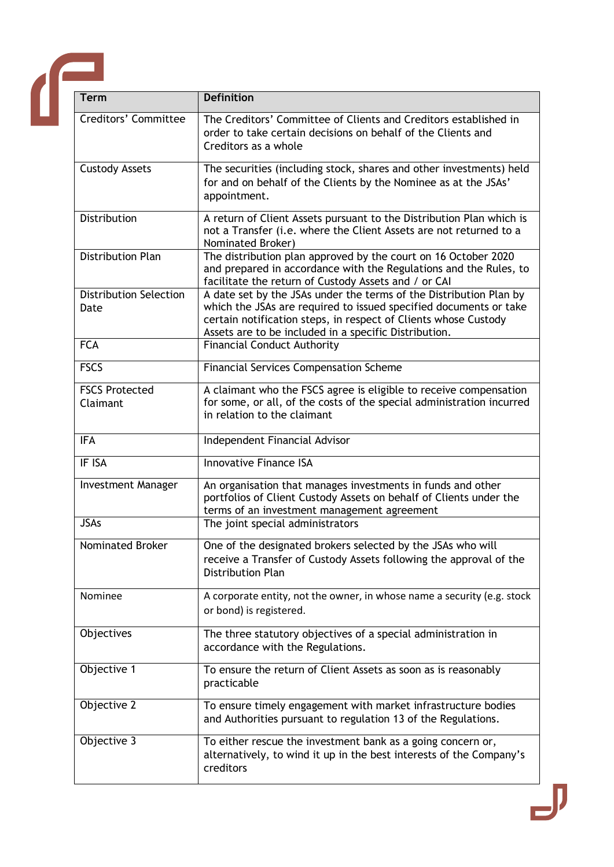

| <b>Term</b>                           | <b>Definition</b>                                                                                                                                                                                                                                                   |
|---------------------------------------|---------------------------------------------------------------------------------------------------------------------------------------------------------------------------------------------------------------------------------------------------------------------|
| Creditors' Committee                  | The Creditors' Committee of Clients and Creditors established in<br>order to take certain decisions on behalf of the Clients and<br>Creditors as a whole                                                                                                            |
| <b>Custody Assets</b>                 | The securities (including stock, shares and other investments) held<br>for and on behalf of the Clients by the Nominee as at the JSAs'<br>appointment.                                                                                                              |
| Distribution                          | A return of Client Assets pursuant to the Distribution Plan which is<br>not a Transfer (i.e. where the Client Assets are not returned to a<br>Nominated Broker)                                                                                                     |
| <b>Distribution Plan</b>              | The distribution plan approved by the court on 16 October 2020<br>and prepared in accordance with the Regulations and the Rules, to<br>facilitate the return of Custody Assets and / or CAI                                                                         |
| <b>Distribution Selection</b><br>Date | A date set by the JSAs under the terms of the Distribution Plan by<br>which the JSAs are required to issued specified documents or take<br>certain notification steps, in respect of Clients whose Custody<br>Assets are to be included in a specific Distribution. |
| <b>FCA</b>                            | <b>Financial Conduct Authority</b>                                                                                                                                                                                                                                  |
| <b>FSCS</b>                           | <b>Financial Services Compensation Scheme</b>                                                                                                                                                                                                                       |
| <b>FSCS Protected</b><br>Claimant     | A claimant who the FSCS agree is eligible to receive compensation<br>for some, or all, of the costs of the special administration incurred<br>in relation to the claimant                                                                                           |
| <b>IFA</b>                            | Independent Financial Advisor                                                                                                                                                                                                                                       |
| IF ISA                                | <b>Innovative Finance ISA</b>                                                                                                                                                                                                                                       |
| <b>Investment Manager</b>             | An organisation that manages investments in funds and other<br>portfolios of Client Custody Assets on behalf of Clients under the<br>terms of an investment management agreement                                                                                    |
| <b>JSAs</b>                           | The joint special administrators                                                                                                                                                                                                                                    |
| <b>Nominated Broker</b>               | One of the designated brokers selected by the JSAs who will<br>receive a Transfer of Custody Assets following the approval of the<br><b>Distribution Plan</b>                                                                                                       |
| Nominee                               | A corporate entity, not the owner, in whose name a security (e.g. stock<br>or bond) is registered.                                                                                                                                                                  |
| Objectives                            | The three statutory objectives of a special administration in<br>accordance with the Regulations.                                                                                                                                                                   |
| Objective 1                           | To ensure the return of Client Assets as soon as is reasonably<br>practicable                                                                                                                                                                                       |
| Objective 2                           | To ensure timely engagement with market infrastructure bodies<br>and Authorities pursuant to regulation 13 of the Regulations.                                                                                                                                      |
| Objective 3                           | To either rescue the investment bank as a going concern or,<br>alternatively, to wind it up in the best interests of the Company's<br>creditors                                                                                                                     |